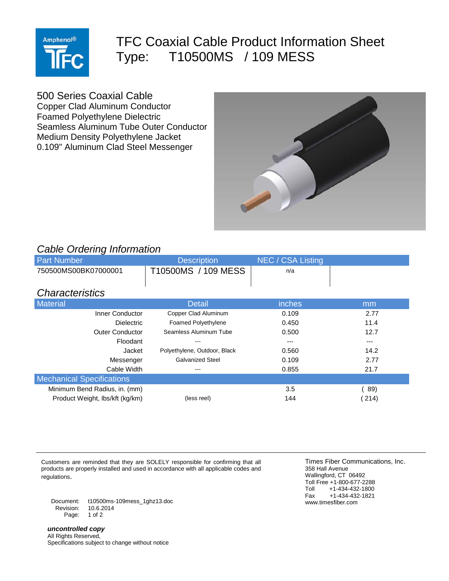

## TFC Coaxial Cable Product Information Sheet Type: T10500MS / 109 MESS

500 Series Coaxial Cable

Copper Clad Aluminum Conductor Foamed Polyethylene Dielectric Seamless Aluminum Tube Outer Conductor Medium Density Polyethylene Jacket 0.109" Aluminum Clad Steel Messenger



## *Cable Ordering Information*

| <b>Part Number</b>               | <b>Description</b>           | NEC / CSA Listing |         |
|----------------------------------|------------------------------|-------------------|---------|
| 750500MS00BK07000001             | T10500MS / 109 MESS          | n/a               |         |
|                                  |                              |                   |         |
| <b>Characteristics</b>           |                              |                   |         |
| Material                         | <b>Detail</b>                | inches            | mm      |
| Inner Conductor                  | Copper Clad Aluminum         | 0.109             | 2.77    |
| <b>Dielectric</b>                | <b>Foamed Polyethylene</b>   | 0.450             | 11.4    |
| <b>Outer Conductor</b>           | Seamless Aluminum Tube       | 0.500             | 12.7    |
| Floodant                         |                              |                   | $- - -$ |
| Jacket                           | Polyethylene, Outdoor, Black | 0.560             | 14.2    |
| Messenger                        | <b>Galvanized Steel</b>      | 0.109             | 2.77    |
| Cable Width                      | ---                          | 0.855             | 21.7    |
| <b>Mechanical Specifications</b> |                              |                   |         |
| Minimum Bend Radius, in. (mm)    |                              | 3.5               | 89)     |
| Product Weight, Ibs/kft (kg/km)  | (less reel)                  | 144               | (214)   |

Customers are reminded that they are SOLELY responsible for confirming that all products are properly installed and used in accordance with all applicable codes and regulations.

Document: t10500ms-109mess\_1ghz13.doc Revision: Page: 1 of 2

*uncontrolled copy* All Rights Reserved, Specifications subject to change without notice

Times Fiber Communications, Inc. 358 Hall Avenue Wallingford, CT 06492 Toll Free +1-800-677-2288<br>Toll +1-434-432-1800 Toll +1-434-432-1800<br>Fax +1-434-432-1821 Fax +1-434-432-1821 www.timesfiber.com